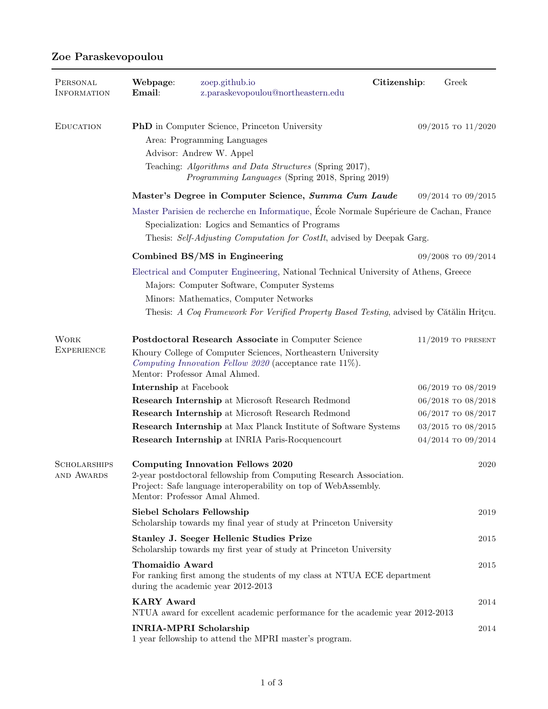| PERSONAL<br>INFORMATION           | Webpage:<br>Email:                                                                                                                                                                                                                                                       | zoep.github.io<br>z.paraskevopoulou@northeastern.edu                                                                                                                                                                | Citizenship: | Greek                  |  |
|-----------------------------------|--------------------------------------------------------------------------------------------------------------------------------------------------------------------------------------------------------------------------------------------------------------------------|---------------------------------------------------------------------------------------------------------------------------------------------------------------------------------------------------------------------|--------------|------------------------|--|
| <b>EDUCATION</b>                  | <b>PhD</b> in Computer Science, Princeton University<br>$09/2015$ TO $11/2020$<br>Area: Programming Languages<br>Advisor: Andrew W. Appel<br>Teaching: Algorithms and Data Structures (Spring 2017),<br>Programming Languages (Spring 2018, Spring 2019)                 |                                                                                                                                                                                                                     |              |                        |  |
|                                   |                                                                                                                                                                                                                                                                          | Master's Degree in Computer Science, Summa Cum Laude                                                                                                                                                                |              | 09/2014 то 09/2015     |  |
|                                   | Master Parisien de recherche en Informatique, École Normale Supérieure de Cachan, France<br>Specialization: Logics and Semantics of Programs<br>Thesis: Self-Adjusting Computation for CostIt, advised by Deepak Garg.                                                   |                                                                                                                                                                                                                     |              |                        |  |
|                                   |                                                                                                                                                                                                                                                                          | Combined BS/MS in Engineering                                                                                                                                                                                       |              | $09/2008$ TO $09/2014$ |  |
|                                   | Electrical and Computer Engineering, National Technical University of Athens, Greece<br>Majors: Computer Software, Computer Systems<br>Minors: Mathematics, Computer Networks<br>Thesis: A Coq Framework For Verified Property Based Testing, advised by Cătălin Hritcu. |                                                                                                                                                                                                                     |              |                        |  |
| <b>WORK</b><br><b>EXPERIENCE</b>  |                                                                                                                                                                                                                                                                          | Postdoctoral Research Associate in Computer Science<br>Khoury College of Computer Sciences, Northeastern University<br>Computing Innovation Fellow 2020 (acceptance rate $11\%$ ).<br>Mentor: Professor Amal Ahmed. |              | $11/2019$ TO PRESENT   |  |
|                                   | Internship at Facebook                                                                                                                                                                                                                                                   |                                                                                                                                                                                                                     |              | $06/2019$ TO $08/2019$ |  |
|                                   |                                                                                                                                                                                                                                                                          | Research Internship at Microsoft Research Redmond                                                                                                                                                                   |              | $06/2018$ TO $08/2018$ |  |
|                                   |                                                                                                                                                                                                                                                                          | Research Internship at Microsoft Research Redmond                                                                                                                                                                   |              | 06/2017 то 08/2017     |  |
|                                   |                                                                                                                                                                                                                                                                          | <b>Research Internship at Max Planck Institute of Software Systems</b>                                                                                                                                              |              | $03/2015$ TO $08/2015$ |  |
|                                   |                                                                                                                                                                                                                                                                          | Research Internship at INRIA Paris-Rocquencourt                                                                                                                                                                     |              | $04/2014$ TO $09/2014$ |  |
| <b>SCHOLARSHIPS</b><br>AND AWARDS |                                                                                                                                                                                                                                                                          | <b>Computing Innovation Fellows 2020</b><br>2-year postdoctoral fellowship from Computing Research Association.<br>Project: Safe language interoperability on top of WebAssembly.<br>Mentor: Professor Amal Ahmed.  |              | 2020                   |  |
|                                   | Siebel Scholars Fellowship                                                                                                                                                                                                                                               | Scholarship towards my final year of study at Princeton University                                                                                                                                                  |              | 2019                   |  |
|                                   |                                                                                                                                                                                                                                                                          | Stanley J. Seeger Hellenic Studies Prize<br>Scholarship towards my first year of study at Princeton University                                                                                                      |              | 2015                   |  |
|                                   | <b>Thomaidio Award</b><br>2015<br>For ranking first among the students of my class at NTUA ECE department<br>during the academic year 2012-2013                                                                                                                          |                                                                                                                                                                                                                     |              |                        |  |
|                                   | <b>KARY Award</b><br>$\,2014$<br>NTUA award for excellent academic performance for the academic year 2012-2013                                                                                                                                                           |                                                                                                                                                                                                                     |              |                        |  |
|                                   | <b>INRIA-MPRI Scholarship</b>                                                                                                                                                                                                                                            | 1 year fellowship to attend the MPRI master's program.                                                                                                                                                              |              | 2014                   |  |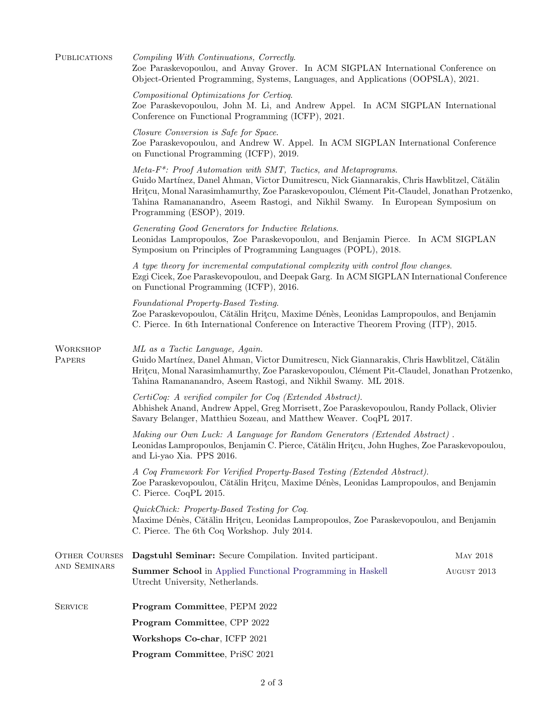| PUBLICATIONS                         | Compiling With Continuations, Correctly.<br>Zoe Paraskevopoulou, and Anvay Grover. In ACM SIGPLAN International Conference on<br>Object-Oriented Programming, Systems, Languages, and Applications (OOPSLA), 2021.                                                                                                                                                                        |                 |  |  |  |
|--------------------------------------|-------------------------------------------------------------------------------------------------------------------------------------------------------------------------------------------------------------------------------------------------------------------------------------------------------------------------------------------------------------------------------------------|-----------------|--|--|--|
|                                      | Compositional Optimizations for Certioq.<br>Zoe Paraskevopoulou, John M. Li, and Andrew Appel. In ACM SIGPLAN International<br>Conference on Functional Programming (ICFP), 2021.                                                                                                                                                                                                         |                 |  |  |  |
|                                      | Closure Conversion is Safe for Space.<br>Zoe Paraskevopoulou, and Andrew W. Appel. In ACM SIGPLAN International Conference<br>on Functional Programming (ICFP), 2019.                                                                                                                                                                                                                     |                 |  |  |  |
|                                      | Meta-F <sup>*</sup> : Proof Automation with SMT, Tactics, and Metaprograms.<br>Guido Martínez, Danel Ahman, Victor Dumitrescu, Nick Giannarakis, Chris Hawblitzel, Cătălin<br>Hritcu, Monal Narasimhamurthy, Zoe Paraskevopoulou, Clément Pit-Claudel, Jonathan Protzenko,<br>Tahina Ramananandro, Aseem Rastogi, and Nikhil Swamy. In European Symposium on<br>Programming (ESOP), 2019. |                 |  |  |  |
|                                      | Generating Good Generators for Inductive Relations.<br>Leonidas Lampropoulos, Zoe Paraskevopoulou, and Benjamin Pierce. In ACM SIGPLAN<br>Symposium on Principles of Programming Languages (POPL), 2018.                                                                                                                                                                                  |                 |  |  |  |
|                                      | A type theory for incremental computational complexity with control flow changes.<br>Ezgi Cicek, Zoe Paraskevopoulou, and Deepak Garg. In ACM SIGPLAN International Conference<br>on Functional Programming (ICFP), 2016.                                                                                                                                                                 |                 |  |  |  |
|                                      | Foundational Property-Based Testing.<br>Zoe Paraskevopoulou, Cătălin Hrițcu, Maxime Dénès, Leonidas Lampropoulos, and Benjamin<br>C. Pierce. In 6th International Conference on Interactive Theorem Proving (ITP), 2015.                                                                                                                                                                  |                 |  |  |  |
| WORKSHOP<br>PAPERS                   | ML as a Tactic Language, Again.<br>Guido Martínez, Danel Ahman, Victor Dumitrescu, Nick Giannarakis, Chris Hawblitzel, Cătălin<br>Hritcu, Monal Narasimhamurthy, Zoe Paraskevopoulou, Clément Pit-Claudel, Jonathan Protzenko,<br>Tahina Ramananandro, Aseem Rastogi, and Nikhil Swamy. ML 2018.                                                                                          |                 |  |  |  |
|                                      | CertiCoq: A verified compiler for Coq (Extended Abstract).<br>Abhishek Anand, Andrew Appel, Greg Morrisett, Zoe Paraskevopoulou, Randy Pollack, Olivier<br>Savary Belanger, Matthieu Sozeau, and Matthew Weaver. CoqPL 2017.                                                                                                                                                              |                 |  |  |  |
|                                      | Making our Own Luck: A Language for Random Generators (Extended Abstract).<br>Leonidas Lampropoulos, Benjamin C. Pierce, Cătălin Hritcu, John Hughes, Zoe Paraskevopoulou,<br>and Li-yao Xia. PPS 2016.                                                                                                                                                                                   |                 |  |  |  |
|                                      | A Coq Framework For Verified Property-Based Testing (Extended Abstract).<br>Zoe Paraskevopoulou, Cătălin Hritcu, Maxime Dénès, Leonidas Lampropoulos, and Benjamin<br>C. Pierce. CoqPL 2015.                                                                                                                                                                                              |                 |  |  |  |
|                                      | QuickChick: Property-Based Testing for Coq.<br>Maxime Dénès, Cătălin Hrițcu, Leonidas Lampropoulos, Zoe Paraskevopoulou, and Benjamin<br>C. Pierce. The 6th Coq Workshop. July 2014.                                                                                                                                                                                                      |                 |  |  |  |
| <b>OTHER COURSES</b><br>AND SEMINARS | Dagstuhl Seminar: Secure Compilation. Invited participant.                                                                                                                                                                                                                                                                                                                                | <b>MAY 2018</b> |  |  |  |
|                                      | <b>Summer School</b> in Applied Functional Programming in Haskell<br>Utrecht University, Netherlands.                                                                                                                                                                                                                                                                                     | AUGUST 2013     |  |  |  |
| <b>SERVICE</b>                       | Program Committee, PEPM 2022                                                                                                                                                                                                                                                                                                                                                              |                 |  |  |  |
|                                      | Program Committee, CPP 2022                                                                                                                                                                                                                                                                                                                                                               |                 |  |  |  |
|                                      | Workshops Co-char, ICFP 2021                                                                                                                                                                                                                                                                                                                                                              |                 |  |  |  |
|                                      | Program Committee, PriSC 2021                                                                                                                                                                                                                                                                                                                                                             |                 |  |  |  |